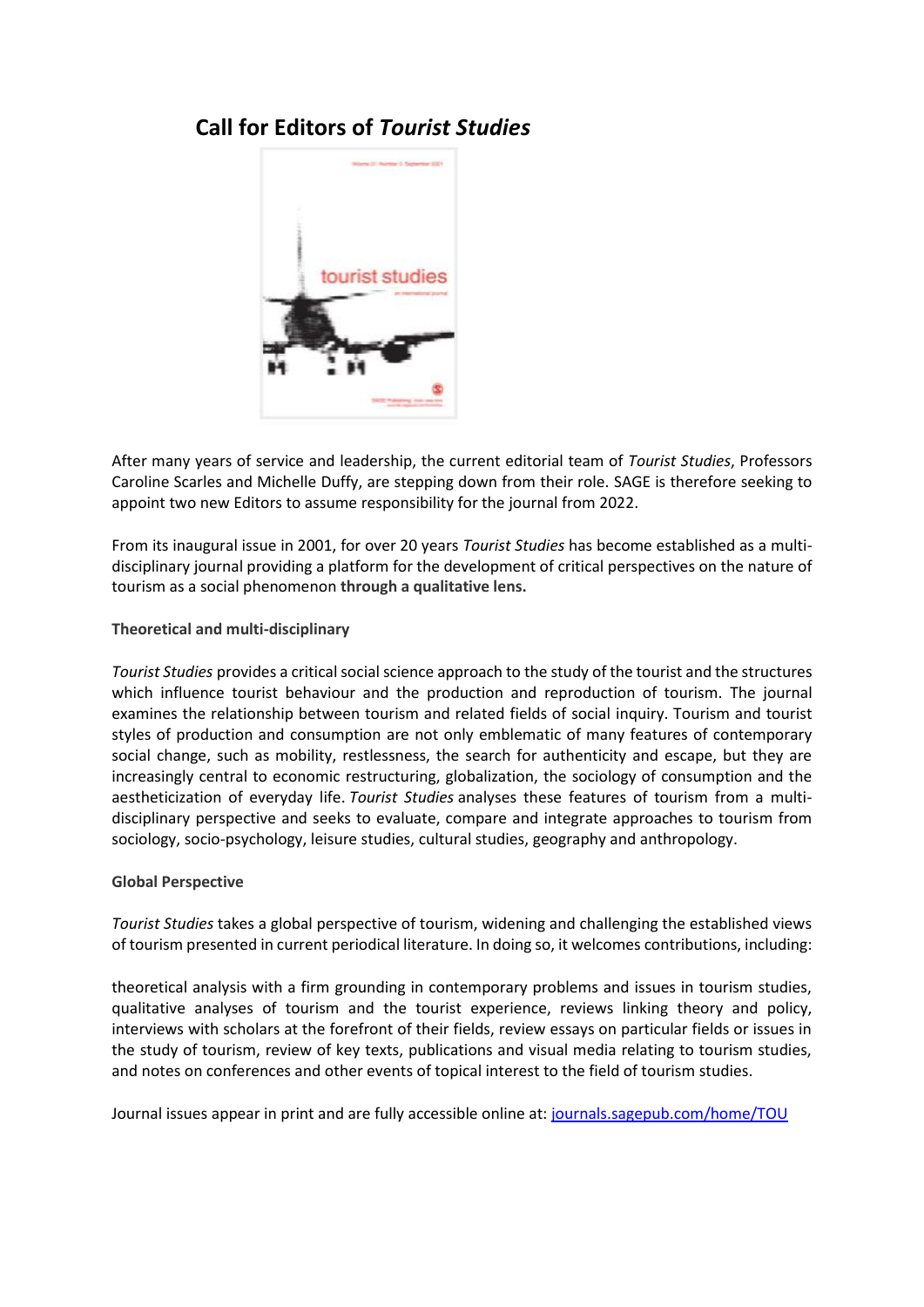# **Call for Editors of** *Tourist Studies*



After many years of service and leadership, the current editorial team of *Tourist Studies*, Professors Caroline Scarles and Michelle Duffy, are stepping down from their role. SAGE is therefore seeking to appoint two new Editors to assume responsibility for the journal from 2022.

From its inaugural issue in 2001, for over 20 years *Tourist Studies* has become established as a multidisciplinary journal providing a platform for the development of critical perspectives on the nature of tourism as a social phenomenon **through a qualitative lens.**

## **Theoretical and multi-disciplinary**

*Tourist Studies* provides a critical social science approach to the study of the tourist and the structures which influence tourist behaviour and the production and reproduction of tourism. The journal examines the relationship between tourism and related fields of social inquiry. Tourism and tourist styles of production and consumption are not only emblematic of many features of contemporary social change, such as mobility, restlessness, the search for authenticity and escape, but they are increasingly central to economic restructuring, globalization, the sociology of consumption and the aestheticization of everyday life. *Tourist Studies* analyses these features of tourism from a multidisciplinary perspective and seeks to evaluate, compare and integrate approaches to tourism from sociology, socio-psychology, leisure studies, cultural studies, geography and anthropology.

#### **Global Perspective**

*Tourist Studies* takes a global perspective of tourism, widening and challenging the established views of tourism presented in current periodical literature. In doing so, it welcomes contributions, including:

theoretical analysis with a firm grounding in contemporary problems and issues in tourism studies, qualitative analyses of tourism and the tourist experience, reviews linking theory and policy, interviews with scholars at the forefront of their fields, review essays on particular fields or issues in the study of tourism, review of key texts, publications and visual media relating to tourism studies, and notes on conferences and other events of topical interest to the field of tourism studies.

Journal issues appear in print and are fully accessible online at: [journals.sagepub.com/home/TOU](https://journals.sagepub.com/home/hpq)